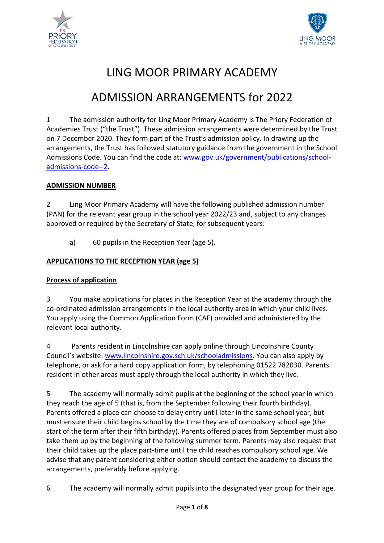



# LING MOOR PRIMARY ACADEMY

## ADMISSION ARRANGEMENTS for 2022

1 The admission authority for Ling Moor Primary Academy is The Priory Federation of Academies Trust ("the Trust"). These admission arrangements were determined by the Trust on 7 December 2020. They form part of the Trust's admission policy. In drawing up the arrangements, the Trust has followed statutory guidance from the government in the School Admissions Code. You can find the code at: [www.gov.uk/government/publications/school](http://www.gov.uk/government/publications/school-admissions-code--2)[admissions-code--2.](http://www.gov.uk/government/publications/school-admissions-code--2)

## **ADMISSION NUMBER**

2 Ling Moor Primary Academy will have the following published admission number (PAN) for the relevant year group in the school year 2022/23 and, subject to any changes approved or required by the Secretary of State, for subsequent years:

a) 60 pupils in the Reception Year (age 5).

## **APPLICATIONS TO THE RECEPTION YEAR (age 5)**

## **Process of application**

3 You make applications for places in the Reception Year at the academy through the co-ordinated admission arrangements in the local authority area in which your child lives. You apply using the Common Application Form (CAF) provided and administered by the relevant local authority.

4 Parents resident in Lincolnshire can apply online through Lincolnshire County Council's website: [www.lincolnshire.gov.sch.uk/schooladmissions.](http://www.lincolnshire.gov.sch.uk/schooladmissions) You can also apply by telephone, or ask for a hard copy application form, by telephoning 01522 782030. Parents resident in other areas must apply through the local authority in which they live.

5 The academy will normally admit pupils at the beginning of the school year in which they reach the age of 5 (that is, from the September following their fourth birthday). Parents offered a place can choose to delay entry until later in the same school year, but must ensure their child begins school by the time they are of compulsory school age (the start of the term after their fifth birthday). Parents offered places from September must also take them up by the beginning of the following summer term. Parents may also request that their child takes up the place part-time until the child reaches compulsory school age. We advise that any parent considering either option should contact the academy to discuss the arrangements, preferably before applying.

6 The academy will normally admit pupils into the designated year group for their age.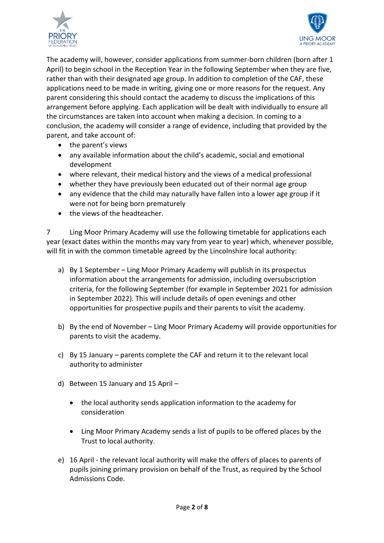



The academy will, however, consider applications from summer-born children (born after 1 April) to begin school in the Reception Year in the following September when they are five, rather than with their designated age group. In addition to completion of the CAF, these applications need to be made in writing, giving one or more reasons for the request. Any parent considering this should contact the academy to discuss the implications of this arrangement before applying. Each application will be dealt with individually to ensure all the circumstances are taken into account when making a decision. In coming to a conclusion, the academy will consider a range of evidence, including that provided by the parent, and take account of:

- the parent's views
- any available information about the child's academic, social and emotional development
- where relevant, their medical history and the views of a medical professional
- whether they have previously been educated out of their normal age group
- any evidence that the child may naturally have fallen into a lower age group if it were not for being born prematurely
- the views of the headteacher.

7 Ling Moor Primary Academy will use the following timetable for applications each year (exact dates within the months may vary from year to year) which, whenever possible, will fit in with the common timetable agreed by the Lincolnshire local authority:

- a) By 1 September Ling Moor Primary Academy will publish in its prospectus information about the arrangements for admission, including oversubscription criteria, for the following September (for example in September 2021 for admission in September 2022). This will include details of open evenings and other opportunities for prospective pupils and their parents to visit the academy.
- b) By the end of November Ling Moor Primary Academy will provide opportunities for parents to visit the academy.
- c) By 15 January parents complete the CAF and return it to the relevant local authority to administer
- d) Between 15 January and 15 April
	- the local authority sends application information to the academy for consideration
	- Ling Moor Primary Academy sends a list of pupils to be offered places by the Trust to local authority.
- e) 16 April the relevant local authority will make the offers of places to parents of pupils joining primary provision on behalf of the Trust, as required by the School Admissions Code.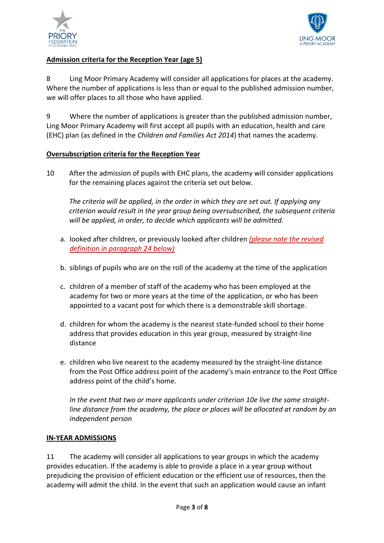



## **Admission criteria for the Reception Year (age 5)**

8 Ling Moor Primary Academy will consider all applications for places at the academy. Where the number of applications is less than or equal to the published admission number, we will offer places to all those who have applied.

9 Where the number of applications is greater than the published admission number, Ling Moor Primary Academy will first accept all pupils with an education, health and care (EHC) plan (as defined in the *Children and Families Act 2014*) that names the academy.

## **Oversubscription criteria for the Reception Year**

10 After the admission of pupils with EHC plans, the academy will consider applications for the remaining places against the criteria set out below.

*The criteria will be applied, in the order in which they are set out. If applying any criterion would result in the year group being oversubscribed, the subsequent criteria will be applied, in order, to decide which applicants will be admitted.*

- a. looked after children, or previously looked after children *(please note the revised definition in paragraph 24 below)*
- b. siblings of pupils who are on the roll of the academy at the time of the application
- c. children of a member of staff of the academy who has been employed at the academy for two or more years at the time of the application, or who has been appointed to a vacant post for which there is a demonstrable skill shortage.
- d. children for whom the academy is the nearest state-funded school to their home address that provides education in this year group, measured by straight-line distance
- e. children who live nearest to the academy measured by the straight-line distance from the Post Office address point of the academy's main entrance to the Post Office address point of the child's home.

*In the event that two or more applicants under criterion 10e live the same straightline distance from the academy, the place or places will be allocated at random by an independent person*

#### **IN-YEAR ADMISSIONS**

11 The academy will consider all applications to year groups in which the academy provides education. If the academy is able to provide a place in a year group without prejudicing the provision of efficient education or the efficient use of resources, then the academy will admit the child. In the event that such an application would cause an infant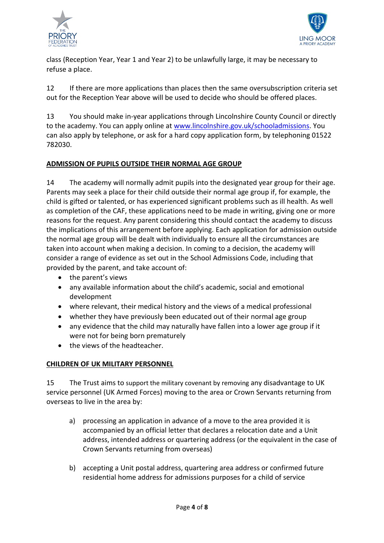



class (Reception Year, Year 1 and Year 2) to be unlawfully large, it may be necessary to refuse a place.

12 If there are more applications than places then the same oversubscription criteria set out for the Reception Year above will be used to decide who should be offered places.

13 You should make in-year applications through Lincolnshire County Council or directly to the academy. You can apply online at [www.lincolnshire.gov.uk/schooladmissions.](http://www.lincolnshire.gov.uk/schooladmissions) You can also apply by telephone, or ask for a hard copy application form, by telephoning 01522 782030.

## **ADMISSION OF PUPILS OUTSIDE THEIR NORMAL AGE GROUP**

14 The academy will normally admit pupils into the designated year group for their age. Parents may seek a place for their child outside their normal age group if, for example, the child is gifted or talented, or has experienced significant problems such as ill health. As well as completion of the CAF, these applications need to be made in writing, giving one or more reasons for the request. Any parent considering this should contact the academy to discuss the implications of this arrangement before applying. Each application for admission outside the normal age group will be dealt with individually to ensure all the circumstances are taken into account when making a decision. In coming to a decision, the academy will consider a range of evidence as set out in the School Admissions Code, including that provided by the parent, and take account of:

- the parent's views
- any available information about the child's academic, social and emotional development
- where relevant, their medical history and the views of a medical professional
- whether they have previously been educated out of their normal age group
- any evidence that the child may naturally have fallen into a lower age group if it were not for being born prematurely
- the views of the headteacher.

## **CHILDREN OF UK MILITARY PERSONNEL**

15 The Trust aims to support the military covenant by removing any disadvantage to UK service personnel (UK Armed Forces) moving to the area or Crown Servants returning from overseas to live in the area by:

- a) processing an application in advance of a move to the area provided it is accompanied by an official letter that declares a relocation date and a Unit address, intended address or quartering address (or the equivalent in the case of Crown Servants returning from overseas)
- b) accepting a Unit postal address, quartering area address or confirmed future residential home address for admissions purposes for a child of service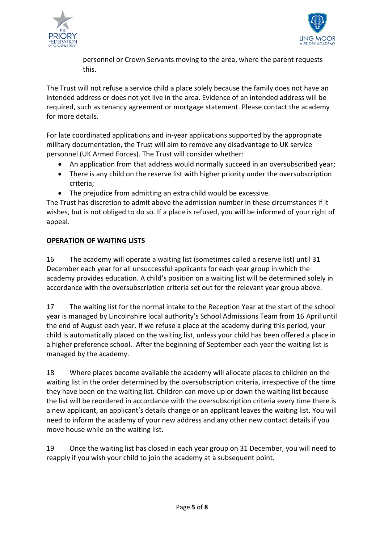



personnel or Crown Servants moving to the area, where the parent requests this.

The Trust will not refuse a service child a place solely because the family does not have an intended address or does not yet live in the area. Evidence of an intended address will be required, such as tenancy agreement or mortgage statement. Please contact the academy for more details.

For late coordinated applications and in-year applications supported by the appropriate military documentation, the Trust will aim to remove any disadvantage to UK service personnel (UK Armed Forces). The Trust will consider whether:

- An application from that address would normally succeed in an oversubscribed year;
- There is any child on the reserve list with higher priority under the oversubscription criteria;
- The prejudice from admitting an extra child would be excessive.

The Trust has discretion to admit above the admission number in these circumstances if it wishes, but is not obliged to do so. If a place is refused, you will be informed of your right of appeal.

## **OPERATION OF WAITING LISTS**

16 The academy will operate a waiting list (sometimes called a reserve list) until 31 December each year for all unsuccessful applicants for each year group in which the academy provides education. A child's position on a waiting list will be determined solely in accordance with the oversubscription criteria set out for the relevant year group above.

17 The waiting list for the normal intake to the Reception Year at the start of the school year is managed by Lincolnshire local authority's School Admissions Team from 16 April until the end of August each year. If we refuse a place at the academy during this period, your child is automatically placed on the waiting list, unless your child has been offered a place in a higher preference school. After the beginning of September each year the waiting list is managed by the academy.

18 Where places become available the academy will allocate places to children on the waiting list in the order determined by the oversubscription criteria, irrespective of the time they have been on the waiting list. Children can move up or down the waiting list because the list will be reordered in accordance with the oversubscription criteria every time there is a new applicant, an applicant's details change or an applicant leaves the waiting list. You will need to inform the academy of your new address and any other new contact details if you move house while on the waiting list.

19 Once the waiting list has closed in each year group on 31 December, you will need to reapply if you wish your child to join the academy at a subsequent point.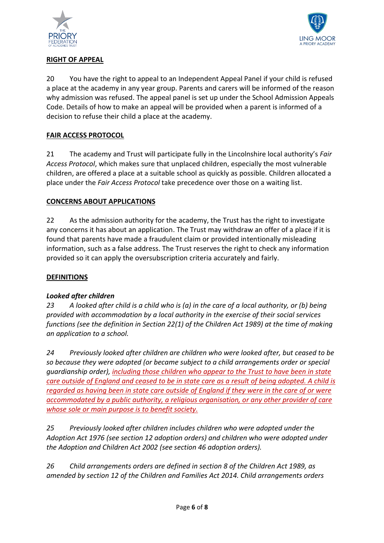



## **RIGHT OF APPEAL**

20 You have the right to appeal to an Independent Appeal Panel if your child is refused a place at the academy in any year group. Parents and carers will be informed of the reason why admission was refused. The appeal panel is set up under the School Admission Appeals Code. Details of how to make an appeal will be provided when a parent is informed of a decision to refuse their child a place at the academy.

## **FAIR ACCESS PROTOCOL**

21 The academy and Trust will participate fully in the Lincolnshire local authority's *Fair Access Protocol*, which makes sure that unplaced children, especially the most vulnerable children, are offered a place at a suitable school as quickly as possible. Children allocated a place under the *Fair Access Protocol* take precedence over those on a waiting list.

## **CONCERNS ABOUT APPLICATIONS**

22 As the admission authority for the academy, the Trust has the right to investigate any concerns it has about an application. The Trust may withdraw an offer of a place if it is found that parents have made a fraudulent claim or provided intentionally misleading information, such as a false address. The Trust reserves the right to check any information provided so it can apply the oversubscription criteria accurately and fairly.

## **DEFINITIONS**

## *Looked after children*

*23 A looked after child is a child who is (a) in the care of a local authority, or (b) being provided with accommodation by a local authority in the exercise of their social services functions (see the definition in Section 22(1) of the Children Act 1989) at the time of making an application to a school.*

*24 Previously looked after children are children who were looked after, but ceased to be so because they were adopted (or became subject to a child arrangements order or special guardianship order), including those children who appear to the Trust to have been in state care outside of England and ceased to be in state care as a result of being adopted. A child is regarded as having been in state care outside of England if they were in the care of or were accommodated by a public authority, a religious organisation, or any other provider of care whose sole or main purpose is to benefit society.*

*25 Previously looked after children includes children who were adopted under the Adoption Act 1976 (see section 12 adoption orders) and children who were adopted under the Adoption and Children Act 2002 (see section 46 adoption orders).* 

*26 Child arrangements orders are defined in section 8 of the Children Act 1989, as amended by section 12 of the Children and Families Act 2014. Child arrangements orders*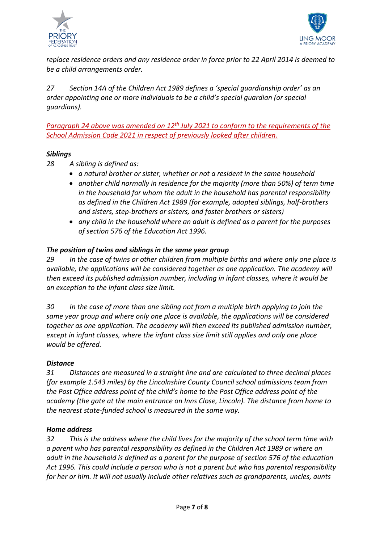



*replace residence orders and any residence order in force prior to 22 April 2014 is deemed to be a child arrangements order.* 

*27 Section 14A of the Children Act 1989 defines a 'special guardianship order' as an order appointing one or more individuals to be a child's special guardian (or special guardians).*

Paragraph 24 above was amended on 12<sup>th</sup> July 2021 to conform to the requirements of the *School Admission Code 2021 in respect of previously looked after children.*

## *Siblings*

- *28 A sibling is defined as:*
	- *a natural brother or sister, whether or not a resident in the same household*
	- *another child normally in residence for the majority (more than 50%) of term time in the household for whom the adult in the household has parental responsibility as defined in the Children Act 1989 (for example, adopted siblings, half-brothers and sisters, step-brothers or sisters, and foster brothers or sisters)*
	- *any child in the household where an adult is defined as a parent for the purposes of section 576 of the Education Act 1996.*

## *The position of twins and siblings in the same year group*

*29 In the case of twins or other children from multiple births and where only one place is available, the applications will be considered together as one application. The academy will then exceed its published admission number, including in infant classes, where it would be an exception to the infant class size limit.*

*30 In the case of more than one sibling not from a multiple birth applying to join the same year group and where only one place is available, the applications will be considered together as one application. The academy will then exceed its published admission number, except in infant classes, where the infant class size limit still applies and only one place would be offered.*

## *Distance*

*31 Distances are measured in a straight line and are calculated to three decimal places (for example 1.543 miles) by the Lincolnshire County Council school admissions team from the Post Office address point of the child's home to the Post Office address point of the academy (the gate at the main entrance on Inns Close, Lincoln). The distance from home to the nearest state-funded school is measured in the same way.*

## *Home address*

*32 This is the address where the child lives for the majority of the school term time with a parent who has parental responsibility as defined in the Children Act 1989 or where an adult in the household is defined as a parent for the purpose of section 576 of the education Act 1996. This could include a person who is not a parent but who has parental responsibility for her or him. It will not usually include other relatives such as grandparents, uncles, aunts*